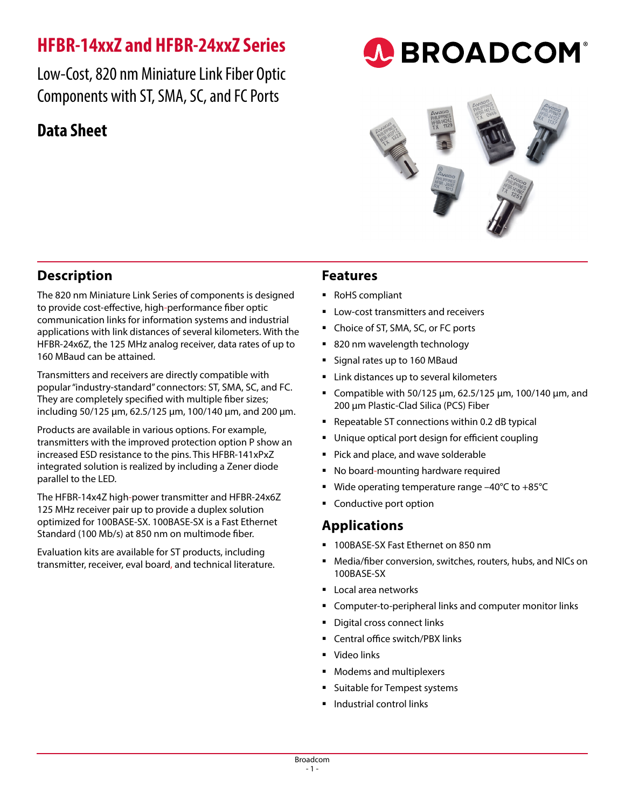# **HFBR-14xxZ and HFBR-24xxZ Series**

Low-Cost, 820 nm Miniature Link Fiber Optic Components with ST, SMA, SC, and FC Ports

# **Data Sheet**

**Description**

parallel to the LED.

160 MBaud can be attained.

The 820 nm Miniature Link Series of components is designed to provide cost-effective, high-performance fiber optic communication links for information systems and industrial applications with link distances of several kilometers. With the HFBR-24x6Z, the 125 MHz analog receiver, data rates of up to

Transmitters and receivers are directly compatible with popular "industry-standard" connectors: ST, SMA, SC, and FC. They are completely specified with multiple fiber sizes; including 50/125 μm, 62.5/125 μm, 100/140 μm, and 200 μm.

Products are available in various options. For example, transmitters with the improved protection option P show an increased ESD resistance to the pins. This HFBR-141xPxZ integrated solution is realized by including a Zener diode

The HFBR-14x4Z high-power transmitter and HFBR-24x6Z 125 MHz receiver pair up to provide a duplex solution optimized for 100BASE-SX. 100BASE-SX is a Fast Ethernet Standard (100 Mb/s) at 850 nm on multimode fiber. Evaluation kits are available for ST products, including transmitter, receiver, eval board, and technical literature.

## **Features**

- RoHS compliant
- **Low-cost transmitters and receivers**
- Choice of ST, SMA, SC, or FC ports
- 820 nm wavelength technology
- Signal rates up to 160 MBaud
- Link distances up to several kilometers
- **•** Compatible with 50/125 μm, 62.5/125 μm, 100/140 μm, and 200 μm Plastic-Clad Silica (PCS) Fiber

**A BROADCOM®** 

- Repeatable ST connections within 0.2 dB typical
- **Unique optical port design for efficient coupling**
- **Pick and place, and wave solderable**
- No board-mounting hardware required
- Wide operating temperature range –40°C to +85°C
- Conductive port option

## **Applications**

- 100BASE-SX Fast Ethernet on 850 nm
- Media/fiber conversion, switches, routers, hubs, and NICs on 100BASE-SX
- **Local area networks**
- **EX Computer-to-peripheral links and computer monitor links**
- Digital cross connect links
- Central office switch/PBX links
- **Video links**
- Modems and multiplexers
- **Suitable for Tempest systems**
- $\blacksquare$  Industrial control links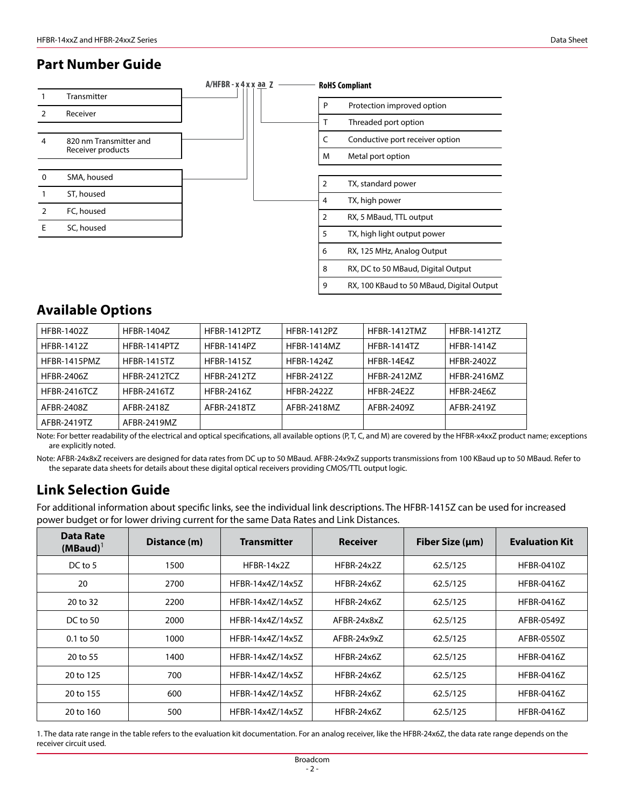### **Part Number Guide**



| P | Protection improved option                |
|---|-------------------------------------------|
| т | Threaded port option                      |
| C | Conductive port receiver option           |
| M | Metal port option                         |
|   |                                           |
| 2 | TX, standard power                        |
| 4 | TX, high power                            |
| 2 | RX, 5 MBaud, TTL output                   |
| 5 | TX, high light output power               |
| 6 | RX, 125 MHz, Analog Output                |
| 8 | RX, DC to 50 MBaud, Digital Output        |
| 9 | RX, 100 KBaud to 50 MBaud, Digital Output |

## **Available Options**

| <b>HFBR-1402Z</b>   | <b>HFBR-1404Z</b>   | HFBR-1412PTZ       | <b>HFBR-1412PZ</b> | HFBR-1412TMZ       | <b>HFBR-1412TZ</b> |
|---------------------|---------------------|--------------------|--------------------|--------------------|--------------------|
| <b>HFBR-1412Z</b>   | <b>HFBR-1414PT7</b> | HFBR-1414P7        | <b>HFBR-1414M7</b> | <b>HFBR-1414T7</b> | <b>HFBR-14147</b>  |
| <b>HFBR-1415PM7</b> | <b>HFBR-1415TZ</b>  | <b>HFBR-1415Z</b>  | <b>HFBR-14247</b>  | <b>HFRR-14F47</b>  | HFBR-24027         |
| <b>HFBR-2406Z</b>   | HFBR-2412TCZ        | <b>HFBR-2412TZ</b> | HFBR-24127         | <b>HFBR-2412MZ</b> | <b>HFBR-2416MZ</b> |
| <b>HFBR-2416TCZ</b> | <b>HFBR-2416TZ</b>  | HFRR-24167         | <b>HFBR-24227</b>  | <b>HFRR-24F27</b>  | <b>HFBR-24F67</b>  |
| AFBR-24087          | AFBR-2418Z          | AFBR-2418TZ        | AFBR-2418M7        | AFBR-24097         | AFBR-24197         |
| AFBR-2419TZ         | AFBR-2419MZ         |                    |                    |                    |                    |

Note: For better readability of the electrical and optical specifications, all available options (P, T, C, and M) are covered by the HFBR-x4xxZ product name; exceptions are explicitly noted.

Note: AFBR-24x8xZ receivers are designed for data rates from DC up to 50 MBaud. AFBR-24x9xZ supports transmissions from 100 KBaud up to 50 MBaud. Refer to the separate data sheets for details about these digital optical receivers providing CMOS/TTL output logic.

## **Link Selection Guide**

For additional information about specific links, see the individual link descriptions. The HFBR-1415Z can be used for increased power budget or for lower driving current for the same Data Rates and Link Distances.

| Data Rate<br>$(MBaud)^1$ | Distance (m) | <b>Transmitter</b> | <b>Receiver</b> | Fiber Size (µm) | <b>Evaluation Kit</b> |
|--------------------------|--------------|--------------------|-----------------|-----------------|-----------------------|
| DC to 5                  | 1500         | HFBR-14x2Z         | HFBR-24x2Z      | 62.5/125        | <b>HFBR-0410Z</b>     |
| 20                       | 2700         | HFBR-14x4Z/14x5Z   | HFBR-24x6Z      | 62.5/125        | <b>HFBR-0416Z</b>     |
| 20 to 32                 | 2200         | HFBR-14x4Z/14x5Z   | HFBR-24x6Z      | 62.5/125        | <b>HFBR-0416Z</b>     |
| DC to $50$               | 2000         | HFBR-14x4Z/14x5Z   | AFBR-24x8xZ     | 62.5/125        | AFBR-0549Z            |
| $0.1$ to 50              | 1000         | HFBR-14x4Z/14x5Z   | AFBR-24x9xZ     | 62.5/125        | AFBR-0550Z            |
| 20 to 55                 | 1400         | HFBR-14x4Z/14x5Z   | HFBR-24x6Z      | 62.5/125        | <b>HFBR-0416Z</b>     |
| 20 to 125                | 700          | HFBR-14x4Z/14x5Z   | HFBR-24x6Z      | 62.5/125        | <b>HFBR-0416Z</b>     |
| 20 to 155                | 600          | HFBR-14x4Z/14x5Z   | HFBR-24x6Z      | 62.5/125        | <b>HFBR-0416Z</b>     |
| 20 to 160                | 500          | HFBR-14x4Z/14x5Z   | HFBR-24x6Z      | 62.5/125        | <b>HFBR-0416Z</b>     |

1. The data rate range in the table refers to the evaluation kit documentation. For an analog receiver, like the HFBR-24x6Z, the data rate range depends on the receiver circuit used.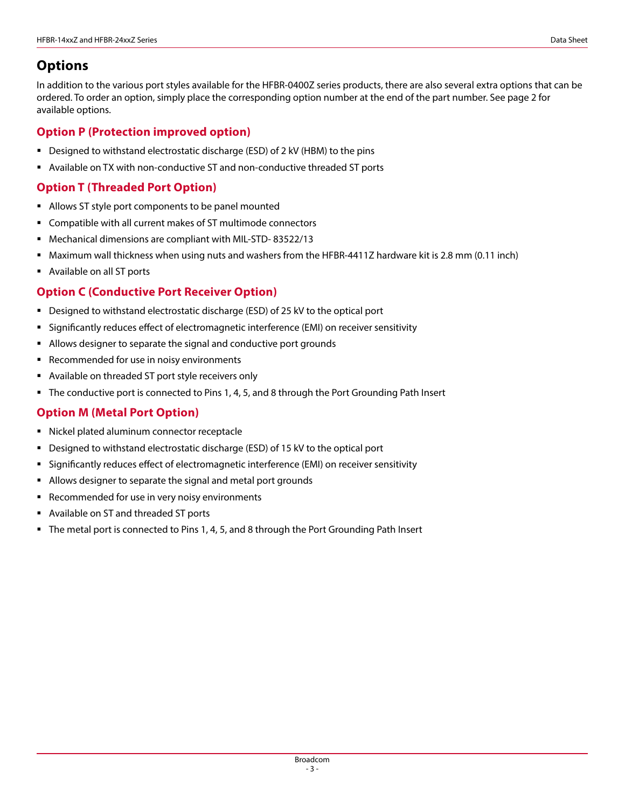## **Options**

In addition to the various port styles available for the HFBR-0400Z series products, there are also several extra options that can be ordered. To order an option, simply place the corresponding option number at the end of the part number. See page 2 for available options.

### **Option P (Protection improved option)**

- Designed to withstand electrostatic discharge (ESD) of 2 kV (HBM) to the pins
- Available on TX with non-conductive ST and non-conductive threaded ST ports

### **Option T (Threaded Port Option)**

- Allows ST style port components to be panel mounted
- Compatible with all current makes of ST multimode connectors
- Mechanical dimensions are compliant with MIL-STD- 83522/13
- Maximum wall thickness when using nuts and washers from the HFBR-4411Z hardware kit is 2.8 mm (0.11 inch)
- Available on all ST ports

### **Option C (Conductive Port Receiver Option)**

- Designed to withstand electrostatic discharge (ESD) of 25 kV to the optical port
- Significantly reduces effect of electromagnetic interference (EMI) on receiver sensitivity
- Allows designer to separate the signal and conductive port grounds
- **Recommended for use in noisy environments**
- Available on threaded ST port style receivers only
- **The conductive port is connected to Pins 1, 4, 5, and 8 through the Port Grounding Path Insert**

### **Option M (Metal Port Option)**

- Nickel plated aluminum connector receptacle
- **Designed to withstand electrostatic discharge (ESD) of 15 kV to the optical port**
- Significantly reduces effect of electromagnetic interference (EMI) on receiver sensitivity
- Allows designer to separate the signal and metal port grounds
- **Recommended for use in very noisy environments**
- Available on ST and threaded ST ports
- The metal port is connected to Pins 1, 4, 5, and 8 through the Port Grounding Path Insert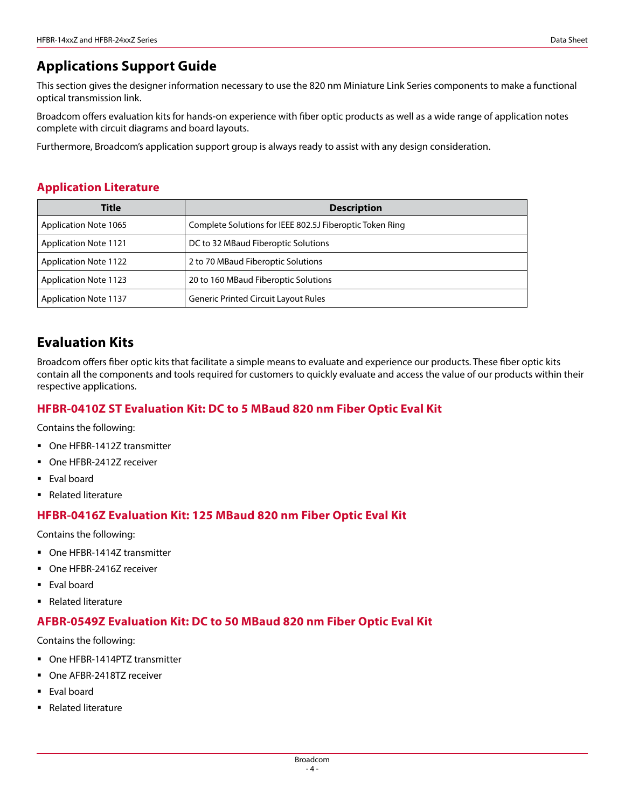## **Applications Support Guide**

This section gives the designer information necessary to use the 820 nm Miniature Link Series components to make a functional optical transmission link.

Broadcom offers evaluation kits for hands-on experience with fiber optic products as well as a wide range of application notes complete with circuit diagrams and board layouts.

Furthermore, Broadcom's application support group is always ready to assist with any design consideration.

### **Application Literature**

| Title                        | <b>Description</b>                                       |  |  |  |  |  |  |
|------------------------------|----------------------------------------------------------|--|--|--|--|--|--|
| <b>Application Note 1065</b> | Complete Solutions for IEEE 802.5J Fiberoptic Token Ring |  |  |  |  |  |  |
| <b>Application Note 1121</b> | DC to 32 MBaud Fiberoptic Solutions                      |  |  |  |  |  |  |
| <b>Application Note 1122</b> | 2 to 70 MBaud Fiberoptic Solutions                       |  |  |  |  |  |  |
| <b>Application Note 1123</b> | 20 to 160 MBaud Fiberoptic Solutions                     |  |  |  |  |  |  |
| <b>Application Note 1137</b> | <b>Generic Printed Circuit Layout Rules</b>              |  |  |  |  |  |  |

## **Evaluation Kits**

Broadcom offers fiber optic kits that facilitate a simple means to evaluate and experience our products. These fiber optic kits contain all the components and tools required for customers to quickly evaluate and access the value of our products within their respective applications.

### **HFBR-0410Z ST Evaluation Kit: DC to 5 MBaud 820 nm Fiber Optic Eval Kit**

Contains the following:

- One HFBR-1412Z transmitter
- One HFBR-2412Z receiver
- **Eval board**
- Related literature

### **HFBR-0416Z Evaluation Kit: 125 MBaud 820 nm Fiber Optic Eval Kit**

Contains the following:

- One HFBR-1414Z transmitter
- One HFBR-2416Z receiver
- **Eval board**
- Related literature

### **AFBR-0549Z Evaluation Kit: DC to 50 MBaud 820 nm Fiber Optic Eval Kit**

Contains the following:

- One HFBR-1414PTZ transmitter
- One AFBR-2418TZ receiver
- Eval board
- Related literature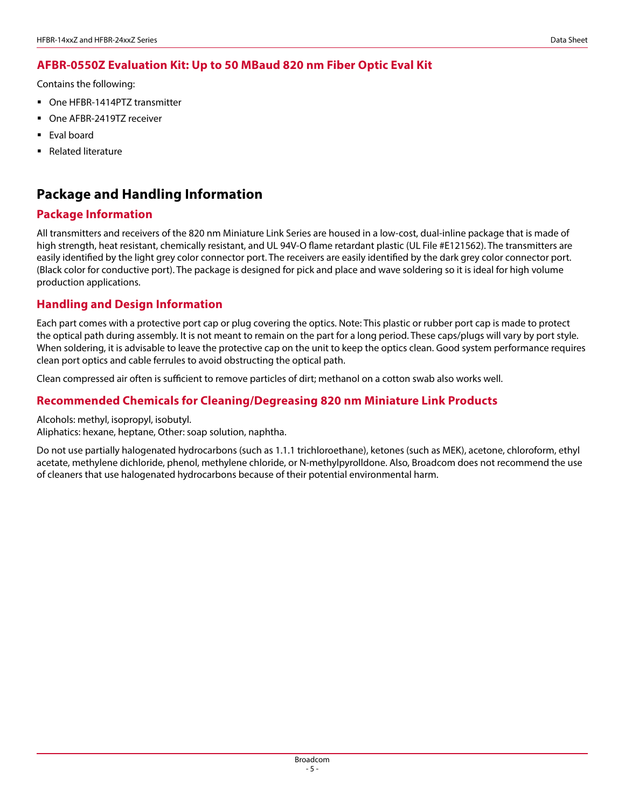### **AFBR-0550Z Evaluation Kit: Up to 50 MBaud 820 nm Fiber Optic Eval Kit**

Contains the following:

- One HFBR-1414PTZ transmitter
- One AFBR-2419TZ receiver
- **Eval board**
- Related literature

## **Package and Handling Information**

### **Package Information**

All transmitters and receivers of the 820 nm Miniature Link Series are housed in a low-cost, dual-inline package that is made of high strength, heat resistant, chemically resistant, and UL 94V-O flame retardant plastic (UL File #E121562). The transmitters are easily identified by the light grey color connector port. The receivers are easily identified by the dark grey color connector port. (Black color for conductive port). The package is designed for pick and place and wave soldering so it is ideal for high volume production applications.

### **Handling and Design Information**

Each part comes with a protective port cap or plug covering the optics. Note: This plastic or rubber port cap is made to protect the optical path during assembly. It is not meant to remain on the part for a long period. These caps/plugs will vary by port style. When soldering, it is advisable to leave the protective cap on the unit to keep the optics clean. Good system performance requires clean port optics and cable ferrules to avoid obstructing the optical path.

Clean compressed air often is sufficient to remove particles of dirt; methanol on a cotton swab also works well.

### **Recommended Chemicals for Cleaning/Degreasing 820 nm Miniature Link Products**

Alcohols: methyl, isopropyl, isobutyl.

Aliphatics: hexane, heptane, Other: soap solution, naphtha.

Do not use partially halogenated hydrocarbons (such as 1.1.1 trichloroethane), ketones (such as MEK), acetone, chloroform, ethyl acetate, methylene dichloride, phenol, methylene chloride, or N-methylpyrolldone. Also, Broadcom does not recommend the use of cleaners that use halogenated hydrocarbons because of their potential environmental harm.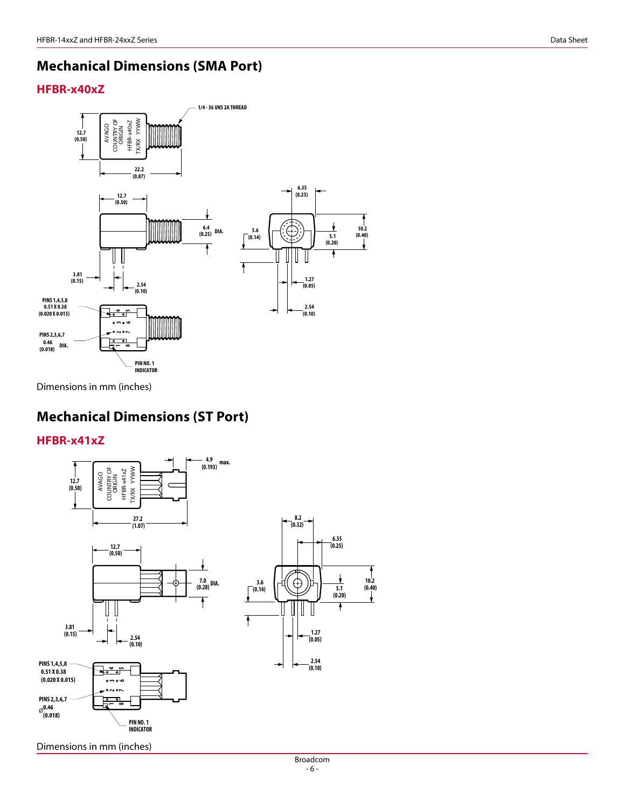## **Mechanical Dimensions (SMA Port)**

### **HFBR-x40xZ**



Dimensions in mm (inches)

## **Mechanical Dimensions (ST Port)**

**HFBR-x41xZ**



Dimensions in mm (inches)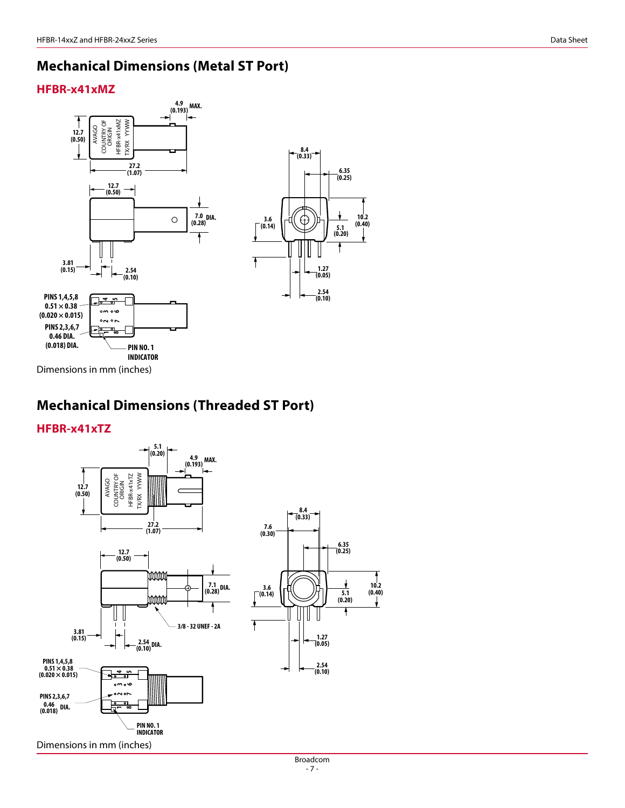## **Mechanical Dimensions (Metal ST Port)**

### **HFBR-x41xMZ**



## **Mechanical Dimensions (Threaded ST Port)**

### **HFBR-x41xTZ**

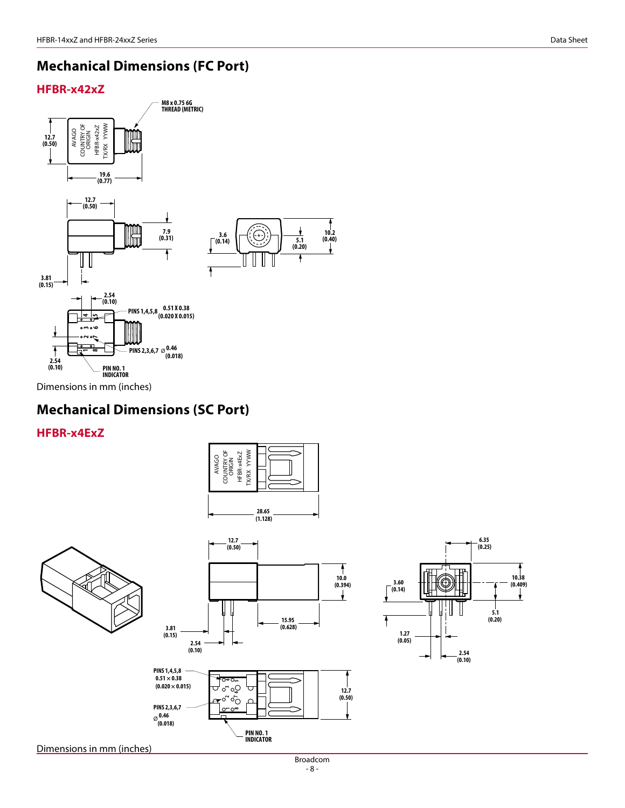## **Mechanical Dimensions (FC Port)**

### **HFBR-x42xZ**



## **Mechanical Dimensions (SC Port)**

### **HFBR-x4ExZ**







**12.7**



**6.35 (0.25) 10.38 (0.14) (0.409) 3.60 5.1** Ŧ **(0.20) 1.27 (0.05) 2.54 (0.10)**

Dimensions in mm (inches)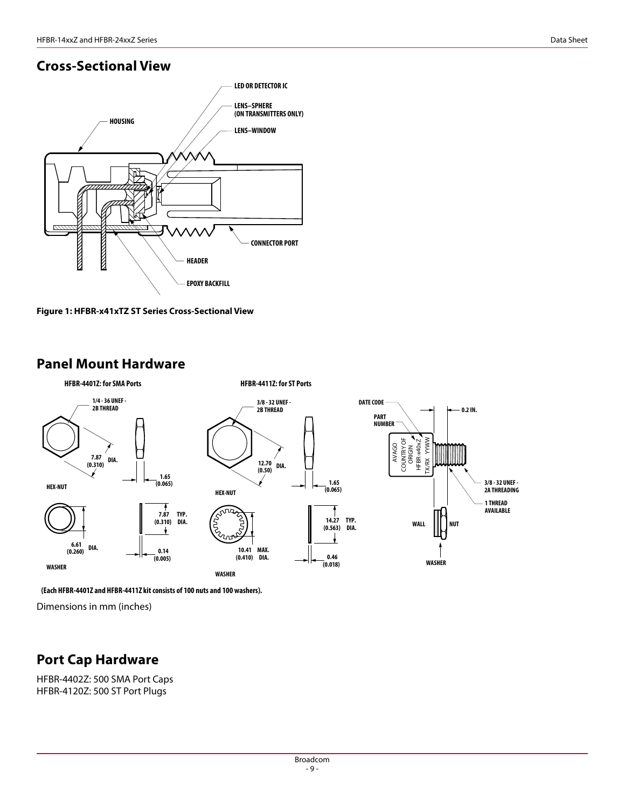## **Cross-Sectional View**





## **Panel Mount Hardware**



**(Each HFBR-4401Z and HFBR-4411Z kit consists of 100 nuts and 100 washers).**

Dimensions in mm (inches)

## **Port Cap Hardware**

HFBR-4402Z: 500 SMA Port Caps HFBR-4120Z: 500 ST Port Plugs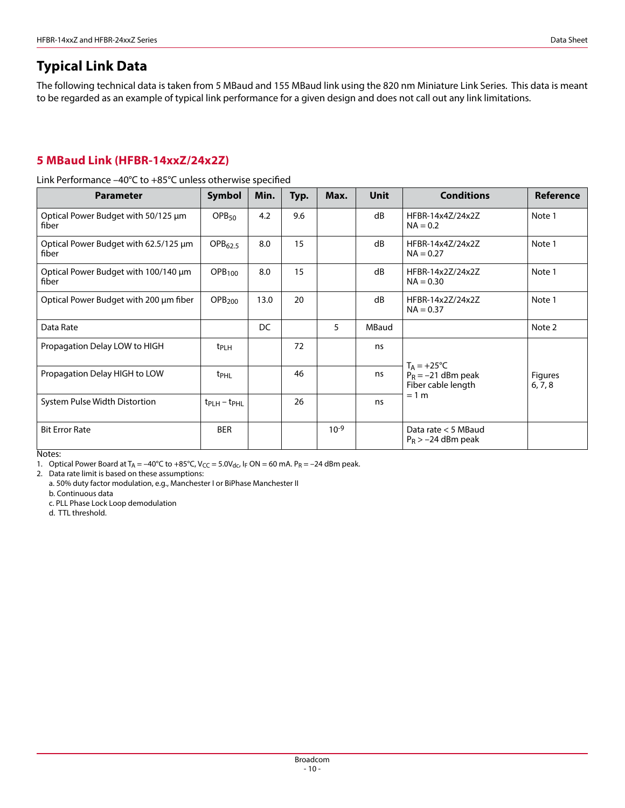The following technical data is taken from 5 MBaud and 155 MBaud link using the 820 nm Miniature Link Series. This data is meant to be regarded as an example of typical link performance for a given design and does not call out any link limitations.

### **5 MBaud Link (HFBR-14xxZ/24x2Z)**

Link Performance –40°C to +85°C unless otherwise specified

| <b>Parameter</b>                               | <b>Symbol</b>                     | Min. | Typ. | Max.      | Unit  | <b>Conditions</b>                             | <b>Reference</b>          |
|------------------------------------------------|-----------------------------------|------|------|-----------|-------|-----------------------------------------------|---------------------------|
| Optical Power Budget with 50/125 µm<br>fiber   | OPB <sub>50</sub>                 | 4.2  | 9.6  |           | dB    | HFBR-14x4Z/24x2Z<br>$NA = 0.2$                | Note 1                    |
| Optical Power Budget with 62.5/125 µm<br>fiber | OPB <sub>62.5</sub>               | 8.0  | 15   |           | dB    | HFBR-14x4Z/24x2Z<br>$NA = 0.27$               | Note 1                    |
| Optical Power Budget with 100/140 µm<br>fiber  | OPB <sub>100</sub>                | 8.0  | 15   |           | dB    | HFBR-14x2Z/24x2Z<br>$NA = 0.30$               | Note 1                    |
| Optical Power Budget with 200 µm fiber         | OPB <sub>200</sub>                | 13.0 | 20   |           | dB    | HFBR-14x27/24x27<br>$NA = 0.37$               | Note 1                    |
| Data Rate                                      |                                   | DC   |      | 5         | MBaud |                                               | Note 2                    |
| Propagation Delay LOW to HIGH                  | t <sub>PLH</sub>                  |      | 72   |           | ns    | $T_A = +25^{\circ}C$                          |                           |
| Propagation Delay HIGH to LOW                  | t <sub>PHL</sub>                  |      | 46   |           | ns    | $P_R = -21$ dBm peak<br>Fiber cable length    | <b>Figures</b><br>6, 7, 8 |
| System Pulse Width Distortion                  | $t_{\text{PLH}} - t_{\text{PHL}}$ |      | 26   |           | ns    | $= 1 m$                                       |                           |
| <b>Bit Error Rate</b>                          | <b>BER</b>                        |      |      | $10^{-9}$ |       | Data rate $<$ 5 MBaud<br>$P_R$ > -24 dBm peak |                           |

Notes:

1. Optical Power Board at  $T_A = -40^{\circ}C$  to  $+85^{\circ}C$ ,  $V_{CC} = 5.0V_{dc}$ , IF ON = 60 mA.  $P_R = -24$  dBm peak.

2. Data rate limit is based on these assumptions:

a. 50% duty factor modulation, e.g., Manchester I or BiPhase Manchester II

b. Continuous data

c. PLL Phase Lock Loop demodulation

d. TTL threshold.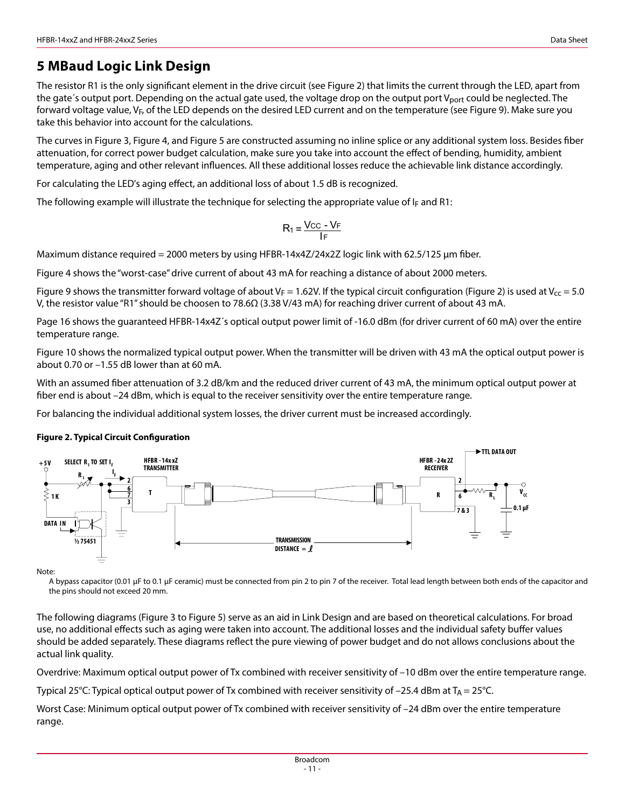## **5 MBaud Logic Link Design**

The resistor R1 is the only significant element in the drive circuit (see Figure 2) that limits the current through the LED, apart from the gate's output port. Depending on the actual gate used, the voltage drop on the output port V<sub>port</sub> could be neglected. The forward voltage value, VF, of the LED depends on the desired LED current and on the temperature (see Figure 9). Make sure you take this behavior into account for the calculations.

The curves in Figure 3, Figure 4, and Figure 5 are constructed assuming no inline splice or any additional system loss. Besides fiber attenuation, for correct power budget calculation, make sure you take into account the effect of bending, humidity, ambient temperature, aging and other relevant influences. All these additional losses reduce the achievable link distance accordingly.

For calculating the LED's aging effect, an additional loss of about 1.5 dB is recognized.

The following example will illustrate the technique for selecting the appropriate value of  $I_F$  and R1:

$$
R_1 = \frac{V_{CC} - V_F}{I_F}
$$

Maximum distance required = 2000 meters by using HFBR-14x4Z/24x2Z logic link with 62.5/125 μm fiber.

Figure 4 shows the "worst-case" drive current of about 43 mA for reaching a distance of about 2000 meters.

Figure 9 shows the transmitter forward voltage of about V<sub>F</sub> = 1.62V. If the typical circuit configuration (Figure 2) is used at V<sub>cc</sub> = 5.0 V, the resistor value "R1" should be choosen to 78.6Ω (3.38 V/43 mA) for reaching driver current of about 43 mA.

Page 16 shows the guaranteed HFBR-14x4Z´s optical output power limit of -16.0 dBm (for driver current of 60 mA) over the entire temperature range.

Figure 10 shows the normalized typical output power. When the transmitter will be driven with 43 mA the optical output power is about 0.70 or –1.55 dB lower than at 60 mA.

With an assumed fiber attenuation of 3.2 dB/km and the reduced driver current of 43 mA, the minimum optical output power at fiber end is about –24 dBm, which is equal to the receiver sensitivity over the entire temperature range.

For balancing the individual additional system losses, the driver current must be increased accordingly.

#### **Figure 2. Typical Circuit Configuration**



Note:

A bypass capacitor (0.01 μF to 0.1 μF ceramic) must be connected from pin 2 to pin 7 of the receiver. Total lead length between both ends of the capacitor and the pins should not exceed 20 mm.

The following diagrams (Figure 3 to Figure 5) serve as an aid in Link Design and are based on theoretical calculations. For broad use, no additional effects such as aging were taken into account. The additional losses and the individual safety buffer values should be added separately. These diagrams reflect the pure viewing of power budget and do not allows conclusions about the actual link quality.

Overdrive: Maximum optical output power of Tx combined with receiver sensitivity of –10 dBm over the entire temperature range.

Typical 25°C: Typical optical output power of Tx combined with receiver sensitivity of -25.4 dBm at T<sub>A</sub> = 25°C.

Worst Case: Minimum optical output power of Tx combined with receiver sensitivity of -24 dBm over the entire temperature range.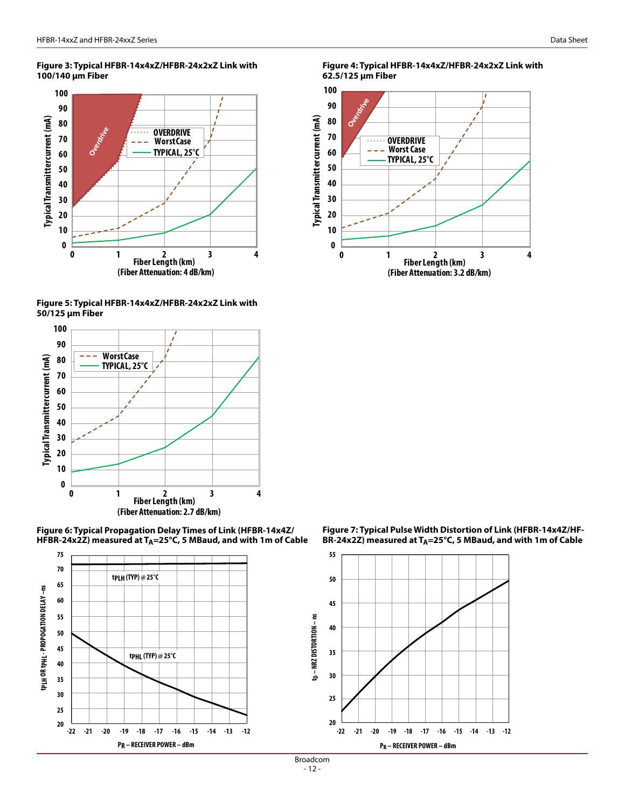#### **Figure 3: Typical HFBR-14x4xZ/HFBR-24x2xZ Link with 100/140 μm Fiber**



**Figure 5: Typical HFBR-14x4xZ/HFBR-24x2xZ Link with 50/125 μm Fiber**



**Figure 6: Typical Propagation Delay Times of Link (HFBR-14x4Z/ HFBR-24x2Z) measured at TA=25°C, 5 MBaud, and with 1m of Cable**



**Figure 4: Typical HFBR-14x4xZ/HFBR-24x2xZ Link with 62.5/125 μm Fiber**



**Figure 7: Typical Pulse Width Distortion of Link (HFBR-14x4Z/HF-BR-24x2Z) measured at TA=25°C, 5 MBaud, and with 1m of Cable**



Broadcom  $-12-$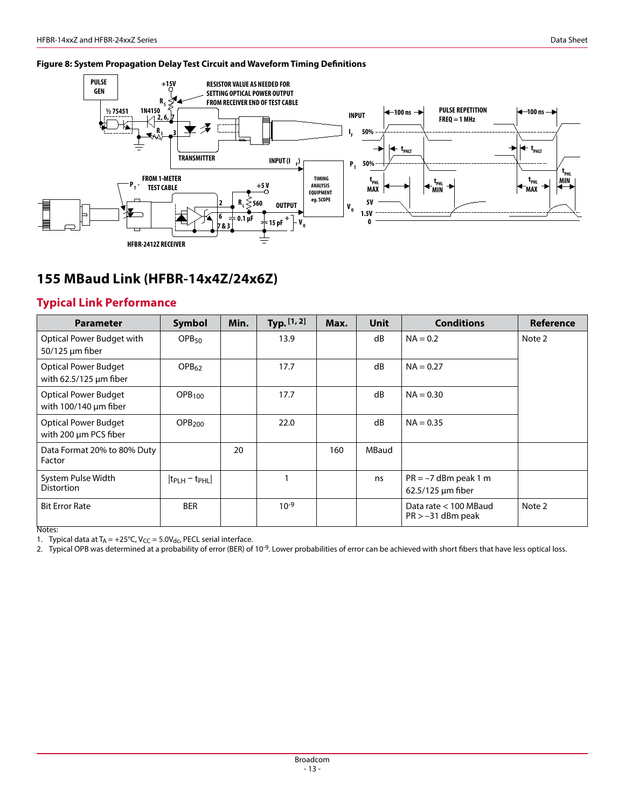#### **Figure 8: System Propagation Delay Test Circuit and Waveform Timing Definitions**



## **155 MBaud Link (HFBR-14x4Z/24x6Z)**

### **Typical Link Performance**

| <b>Parameter</b>                                          | Symbol                | Min. | Typ. $[1, 2]$ | Max. | <b>Unit</b> | <b>Conditions</b>                             | Reference |
|-----------------------------------------------------------|-----------------------|------|---------------|------|-------------|-----------------------------------------------|-----------|
| Optical Power Budget with<br>$50/125$ µm fiber            | OPB <sub>50</sub>     |      | 13.9          |      | dB          | $NA = 0.2$                                    | Note 2    |
| <b>Optical Power Budget</b><br>with $62.5/125$ µm fiber   | OPB <sub>62</sub>     |      | 17.7          |      | dB          | $NA = 0.27$                                   |           |
| <b>Optical Power Budget</b><br>with $100/140 \mu m$ fiber | OPB <sub>100</sub>    |      | 17.7          |      | dB          | $NA = 0.30$                                   |           |
| <b>Optical Power Budget</b><br>with 200 µm PCS fiber      | OPB <sub>200</sub>    |      | 22.0          |      | dB          | $NA = 0.35$                                   |           |
| Data Format 20% to 80% Duty<br>Factor                     |                       | 20   |               | 160  | MBaud       |                                               |           |
| System Pulse Width<br><b>Distortion</b>                   | $ t_{PLH} - t_{PHL} $ |      |               |      | ns          | $PR = -7$ dBm peak 1 m<br>$62.5/125$ µm fiber |           |
| <b>Bit Error Rate</b>                                     | <b>BER</b>            |      | $10^{-9}$     |      |             | Data rate < 100 MBaud<br>$PR > -31$ dBm peak  | Note 2    |

Notes:

1. Typical data at  $T_A = +25^{\circ}C$ ,  $V_{CC} = 5.0V_{dc}$ , PECL serial interface.

2. Typical OPB was determined at a probability of error (BER) of 10<sup>-9</sup>. Lower probabilities of error can be achieved with short fibers that have less optical loss.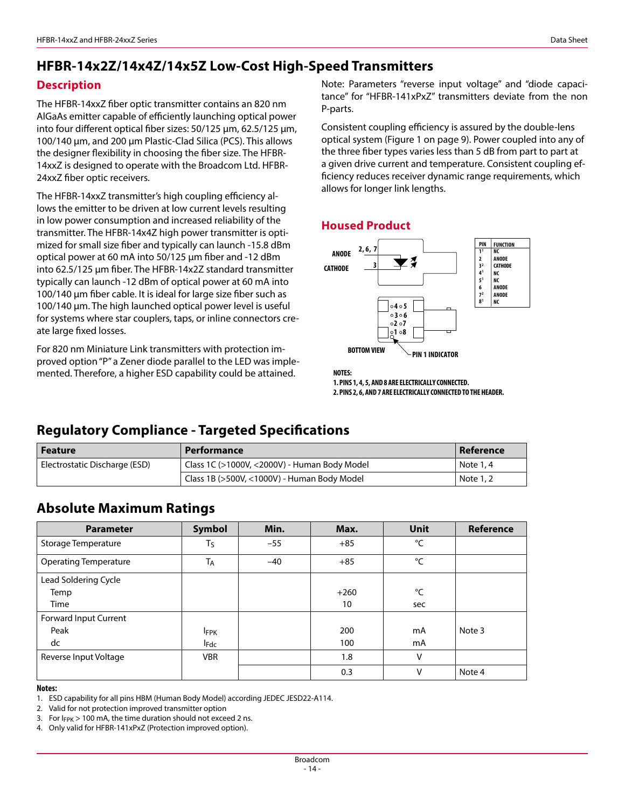## **HFBR-14x2Z/14x4Z/14x5Z Low-Cost High-Speed Transmitters**

### **Description**

The HFBR-14xxZ fiber optic transmitter contains an 820 nm AlGaAs emitter capable of efficiently launching optical power into four different optical fiber sizes: 50/125 µm, 62.5/125 μm, 100/140 μm, and 200 μm Plastic-Clad Silica (PCS). This allows the designer flexibility in choosing the fiber size. The HFBR-14xxZ is designed to operate with the Broadcom Ltd. HFBR-24xxZ fiber optic receivers.

The HFBR-14xxZ transmitter's high coupling efficiency allows the emitter to be driven at low current levels resulting in low power consumption and increased reliability of the transmitter. The HFBR-14x4Z high power transmitter is optimized for small size fiber and typically can launch -15.8 dBm optical power at 60 mA into 50/125 μm fiber and -12 dBm into 62.5/125 μm fiber. The HFBR-14x2Z standard transmitter typically can launch -12 dBm of optical power at 60 mA into 100/140 μm fiber cable. It is ideal for large size fiber such as 100/140 μm. The high launched optical power level is useful for systems where star couplers, taps, or inline connectors create large fixed losses.

For 820 nm Miniature Link transmitters with protection improved option "P" a Zener diode parallel to the LED was implemented. Therefore, a higher ESD capability could be attained.

Note: Parameters "reverse input voltage" and "diode capacitance" for "HFBR-141xPxZ" transmitters deviate from the non P-parts.

Consistent coupling efficiency is assured by the double-lens optical system (Figure 1 on page 9). Power coupled into any of the three fiber types varies less than 5 dB from part to part at a given drive current and temperature. Consistent coupling efficiency reduces receiver dynamic range requirements, which allows for longer link lengths.

### **Housed Product**



**NOTES: 1. PINS 1, 4, 5, AND 8 ARE ELECTRICALLY CONNECTED. 2. PINS 2, 6, AND 7 ARE ELECTRICALLY CONNECTED TO THE HEADER.**

## **Regulatory Compliance - Targeted Specifications**

| Feature                       | Performance                                  | Reference |
|-------------------------------|----------------------------------------------|-----------|
| Electrostatic Discharge (ESD) | Class 1C (>1000V, <2000V) - Human Body Model | Note 1, 4 |
|                               | Class 1B (>500V, <1000V) - Human Body Model  | Note 1, 2 |

## **Absolute Maximum Ratings**

| <b>Parameter</b>             | <b>Symbol</b> | Min.  | Max.   | <b>Unit</b> | Reference |
|------------------------------|---------------|-------|--------|-------------|-----------|
| Storage Temperature          | $T_S$         | $-55$ | $+85$  | °C          |           |
| <b>Operating Temperature</b> | <b>TA</b>     | $-40$ | $+85$  | °C          |           |
| Lead Soldering Cycle         |               |       |        |             |           |
| Temp                         |               |       | $+260$ | °C          |           |
| Time                         |               |       | 10     | sec         |           |
| Forward Input Current        |               |       |        |             |           |
| Peak                         | <b>IFPK</b>   |       | 200    | mA          | Note 3    |
| dc                           | <b>I</b> Fdc  |       | 100    | mA          |           |
| Reverse Input Voltage        | <b>VBR</b>    |       | 1.8    | V           |           |
|                              |               |       | 0.3    | v           | Note 4    |

#### **Notes:**

1. ESD capability for all pins HBM (Human Body Model) according JEDEC JESD22-A114.

2. Valid for not protection improved transmitter option

3. For  $I_{FPK}$  > 100 mA, the time duration should not exceed 2 ns.

4. Only valid for HFBR-141xPxZ (Protection improved option).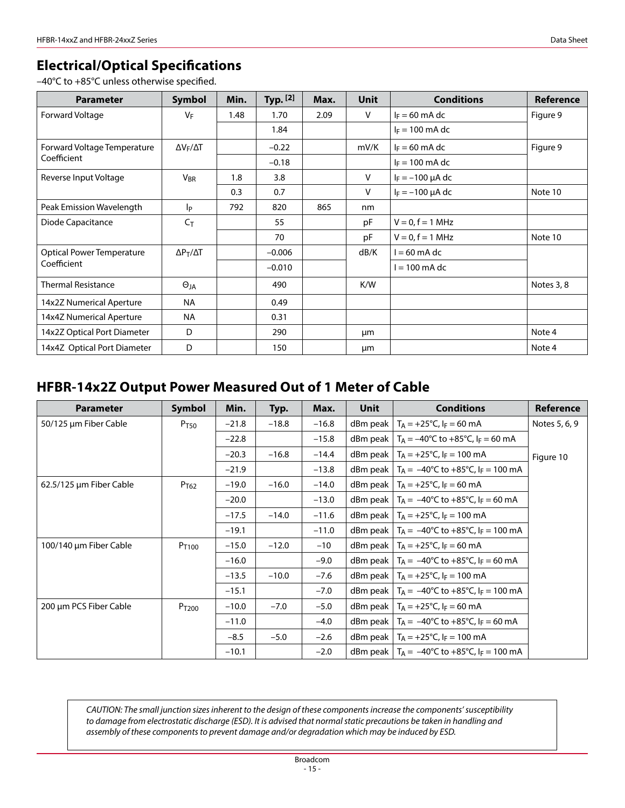### **Electrical/Optical Specifications**

–40°C to +85°C unless otherwise specified.

| <b>Parameter</b>                 | <b>Symbol</b>         | Min. | Typ. $[2]$ | Max. | <b>Unit</b>  | <b>Conditions</b>     | Reference  |
|----------------------------------|-----------------------|------|------------|------|--------------|-----------------------|------------|
| Forward Voltage                  | VF                    | 1.48 | 1.70       | 2.09 | $\vee$       | $I_F = 60$ mA dc      | Figure 9   |
|                                  |                       |      | 1.84       |      |              | $I_F = 100$ mA dc     |            |
| Forward Voltage Temperature      | $\Delta V_F/\Delta T$ |      | $-0.22$    |      | mV/K         | $I_F = 60$ mA dc      | Figure 9   |
| Coefficient                      |                       |      | $-0.18$    |      |              | $I_F = 100$ mA dc     |            |
| Reverse Input Voltage            | <b>V<sub>BR</sub></b> | 1.8  | 3.8        |      | V            | $I_F = -100 \mu A dc$ |            |
|                                  |                       | 0.3  | 0.7        |      | $\mathsf{V}$ | $I_F = -100 \mu A dc$ | Note 10    |
| Peak Emission Wavelength         | <b>l</b> p            | 792  | 820        | 865  | nm           |                       |            |
| Diode Capacitance                | $C_{\mathsf{T}}$      |      | 55         |      | pF           | $V = 0, f = 1 MHz$    |            |
|                                  |                       |      | 70         |      | pF           | $V = 0, f = 1$ MHz    | Note 10    |
| <b>Optical Power Temperature</b> | $\Delta P_T/\Delta T$ |      | $-0.006$   |      | dB/K         | l = 60 mA dc          |            |
| Coefficient                      |                       |      | $-0.010$   |      |              | $l = 100$ mA dc       |            |
| <b>Thermal Resistance</b>        | $\Theta_{JA}$         |      | 490        |      | K/W          |                       | Notes 3, 8 |
| 14x2Z Numerical Aperture         | <b>NA</b>             |      | 0.49       |      |              |                       |            |
| 14x4Z Numerical Aperture         | <b>NA</b>             |      | 0.31       |      |              |                       |            |
| 14x2Z Optical Port Diameter      | D                     |      | 290        |      | μm           |                       | Note 4     |
| 14x4Z Optical Port Diameter      | D                     |      | 150        |      | μm           |                       | Note 4     |

## **HFBR-14x2Z Output Power Measured Out of 1 Meter of Cable**

| <b>Parameter</b>        | <b>Symbol</b>     | Min.    | Typ.    | Max.    | Unit        | <b>Conditions</b>                                                  | Reference     |
|-------------------------|-------------------|---------|---------|---------|-------------|--------------------------------------------------------------------|---------------|
| 50/125 µm Fiber Cable   | P <sub>T50</sub>  | $-21.8$ | $-18.8$ | $-16.8$ | $d$ Bm peak | $T_A = +25$ °C, l <sub>F</sub> = 60 mA                             | Notes 5, 6, 9 |
|                         |                   | $-22.8$ |         | $-15.8$ |             | dBm peak   T <sub>A</sub> = -40°C to +85°C, I <sub>F</sub> = 60 mA |               |
|                         |                   | $-20.3$ | $-16.8$ | $-14.4$ |             | dBm peak $ T_A = +25^{\circ}C$ , $ F = 100 \text{ mA}$             | Figure 10     |
|                         |                   | $-21.9$ |         | $-13.8$ |             | dBm peak $ T_A = -40^{\circ}C$ to $+85^{\circ}C$ , $I_F = 100$ mA  |               |
| 62.5/125 µm Fiber Cable | P <sub>T62</sub>  | $-19.0$ | $-16.0$ | $-14.0$ |             | dBm peak   T <sub>A</sub> = +25°C, I <sub>F</sub> = 60 mA          |               |
|                         |                   | $-20.0$ |         | $-13.0$ |             | dBm peak $ T_A = -40^{\circ}C$ to $+85^{\circ}C$ , $ F = 60$ mA    |               |
|                         |                   | $-17.5$ | $-14.0$ | $-11.6$ |             | dBm peak $ T_A = +25^{\circ}C$ , $I_F = 100$ mA                    |               |
|                         |                   | $-19.1$ |         | $-11.0$ |             | dBm peak $ T_A = -40^{\circ}C$ to $+85^{\circ}C$ , $I_F = 100$ mA  |               |
| 100/140 µm Fiber Cable  | P <sub>T100</sub> | $-15.0$ | $-12.0$ | $-10$   |             | dBm peak   $T_A = +25$ °C, $I_F = 60$ mA                           |               |
|                         |                   | $-16.0$ |         | $-9.0$  |             | dBm peak $ T_A = -40^{\circ}C$ to +85°C, $I_F = 60$ mA             |               |
|                         |                   | $-13.5$ | $-10.0$ | $-7.6$  |             | dBm peak $ T_A = +25^{\circ}C$ , $ F = 100 \text{ mA}$             |               |
|                         |                   | $-15.1$ |         | $-7.0$  |             | dBm peak $ T_A = -40^{\circ}C$ to $+85^{\circ}C$ , $I_F = 100$ mA  |               |
| 200 µm PCS Fiber Cable  | P <sub>T200</sub> | $-10.0$ | $-7.0$  | $-5.0$  |             | dBm peak $ T_A = +25^{\circ}C$ , $I_F = 60$ mA                     |               |
|                         |                   | $-11.0$ |         | $-4.0$  |             | dBm peak $ T_A = -40^{\circ}C$ to +85°C, $I_F = 60$ mA             |               |
|                         |                   | $-8.5$  | $-5.0$  | $-2.6$  |             | dBm peak $ T_A = +25^{\circ}C$ , $I_F = 100 \text{ mA}$            |               |
|                         |                   | $-10.1$ |         | $-2.0$  |             | dBm peak $ T_A = -40^{\circ}C$ to $+85^{\circ}C$ , $I_F = 100$ mA  |               |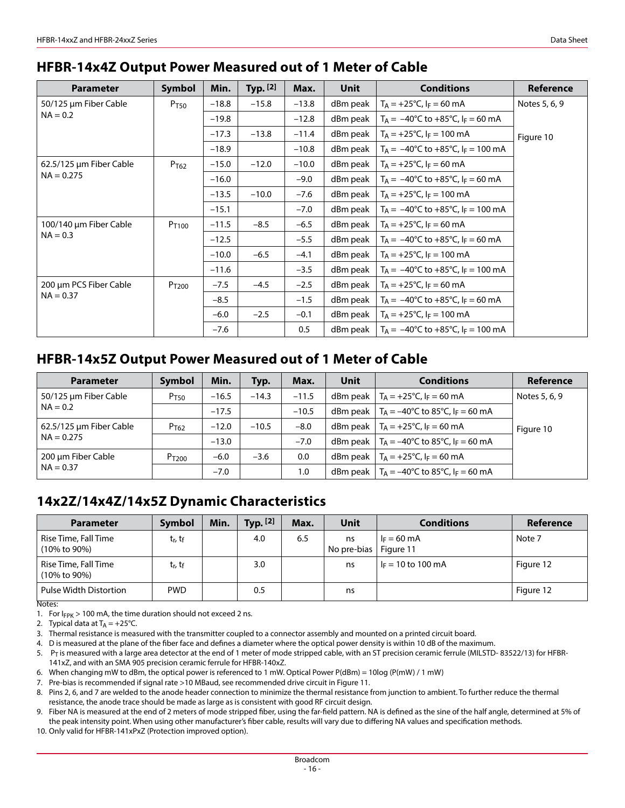### **HFBR-14x4Z Output Power Measured out of 1 Meter of Cable**

| <b>Parameter</b>        | <b>Symbol</b>     | Min.    | Typ. $[2]$ | Max.    | <b>Unit</b>         | <b>Conditions</b>                                       | Reference     |
|-------------------------|-------------------|---------|------------|---------|---------------------|---------------------------------------------------------|---------------|
| 50/125 µm Fiber Cable   | P <sub>T50</sub>  | $-18.8$ | $-15.8$    | $-13.8$ | dBm peak            | $T_A = +25$ °C, $I_F = 60$ mA                           | Notes 5, 6, 9 |
| $NA = 0.2$              |                   | $-19.8$ |            | $-12.8$ | dBm peak            | $T_A = -40^{\circ}C$ to $+85^{\circ}C$ , $I_F = 60$ mA  |               |
|                         |                   | $-17.3$ | $-13.8$    | $-11.4$ | dBm peak            | $T_A = +25$ °C, I <sub>F</sub> = 100 mA                 | Figure 10     |
|                         |                   | $-18.9$ |            | $-10.8$ | dBm peak            | $T_A = -40^{\circ}C$ to $+85^{\circ}C$ , $I_F = 100$ mA |               |
| 62.5/125 µm Fiber Cable | P <sub>T62</sub>  | $-15.0$ | $-12.0$    | $-10.0$ | dBm peak            | $T_A = +25$ °C, $I_F = 60$ mA                           |               |
| $NA = 0.275$            |                   | $-16.0$ |            | $-9.0$  | dBm peak            | $T_A = -40^{\circ}C$ to $+85^{\circ}C$ , $I_F = 60$ mA  |               |
|                         |                   | $-13.5$ | $-10.0$    | $-7.6$  | dBm peak            | $T_A = +25$ °C, l <sub>F</sub> = 100 mA                 |               |
|                         |                   | $-15.1$ |            | $-7.0$  | dBm peak            | $T_A = -40^{\circ}C$ to $+85^{\circ}C$ , $I_F = 100$ mA |               |
| 100/140 µm Fiber Cable  | P <sub>T100</sub> | $-11.5$ | $-8.5$     | $-6.5$  | dBm peak            | $T_A = +25$ °C, I <sub>F</sub> = 60 mA                  |               |
| $NA = 0.3$              |                   | $-12.5$ |            | $-5.5$  | dBm peak            | $T_A = -40^{\circ}$ C to $+85^{\circ}$ C, $I_F = 60$ mA |               |
|                         |                   | $-10.0$ | $-6.5$     | $-4.1$  | dBm peak            | $T_A = +25$ °C, l <sub>F</sub> = 100 mA                 |               |
|                         |                   | $-11.6$ |            | $-3.5$  | dBm peak            | $T_A = -40^{\circ}C$ to $+85^{\circ}C$ , $I_F = 100$ mA |               |
| 200 µm PCS Fiber Cable  | P <sub>T200</sub> | $-7.5$  | $-4.5$     | $-2.5$  | dBm peak            | $T_A = +25$ °C, $I_F = 60$ mA                           |               |
| $NA = 0.37$             |                   | $-8.5$  |            | $-1.5$  | dBm peak            | $T_A = -40^{\circ}C$ to $+85^{\circ}C$ , $I_F = 60$ mA  |               |
|                         |                   | $-6.0$  | $-2.5$     | $-0.1$  | $d$ Bm peak $\vert$ | $T_A = +25$ °C, I <sub>F</sub> = 100 mA                 |               |
|                         |                   | $-7.6$  |            | 0.5     | $d$ Bm peak $ $     | $T_A = -40^{\circ}C$ to $+85^{\circ}C$ , $I_F = 100$ mA |               |

### **HFBR-14x5Z Output Power Measured out of 1 Meter of Cable**

| <b>Parameter</b>        | Symbol            | Min.    | Typ.    | Max.    | Unit | <b>Conditions</b>                                     | Reference     |
|-------------------------|-------------------|---------|---------|---------|------|-------------------------------------------------------|---------------|
| 50/125 µm Fiber Cable   | P <sub>T50</sub>  | $-16.5$ | $-14.3$ | $-11.5$ |      | dBm peak $ T_A = +25^{\circ}C$ , $ F = 60$ mA         | Notes 5, 6, 9 |
| $NA = 0.2$              |                   | $-17.5$ |         | $-10.5$ |      | dBm peak $ T_A = -40^{\circ}C$ to 85°C, $I_F = 60$ mA |               |
| 62.5/125 µm Fiber Cable | P <sub>T62</sub>  | $-12.0$ | $-10.5$ | $-8.0$  |      | dBm peak $ T_A = +25^{\circ}C$ , $ F = 60$ mA         | Figure 10     |
| $NA = 0.275$            |                   | $-13.0$ |         | $-7.0$  |      | dBm peak $ T_A = -40^{\circ}C$ to 85°C, $I_F = 60$ mA |               |
| 200 µm Fiber Cable      | P <sub>T200</sub> | $-6.0$  | $-3.6$  | 0.0     |      | dBm peak $ T_A = +25^{\circ}C$ , $ F = 60 \text{ mA}$ |               |
| $NA = 0.37$             |                   | $-7.0$  |         | 1.0     |      | dBm peak $ T_A = -40^{\circ}C$ to 85°C, $I_F = 60$ mA |               |

## **14x2Z/14x4Z/14x5Z Dynamic Characteristics**

| <b>Parameter</b>                                   | Symbol                          | Min. | Typ. [2] | Max. | Unit              | <b>Conditions</b>                  | Reference |
|----------------------------------------------------|---------------------------------|------|----------|------|-------------------|------------------------------------|-----------|
| Rise Time, Fall Time<br>(10% to 90%)               | t <sub>r</sub> , t <sub>f</sub> |      | 4.0      | 6.5  | ns<br>No pre-bias | $I_F = 60 \text{ mA}$<br>Figure 11 | Note 7    |
| Rise Time, Fall Time<br>(10% to 90%)               | t <sub>r</sub> , t <sub>f</sub> |      | 3.0      |      | ns                | $I_F = 10$ to 100 mA               | Figure 12 |
| Pulse Width Distortion<br>$\overline{\phantom{a}}$ | <b>PWD</b>                      |      | 0.5      |      | ns                |                                    | Figure 12 |

Notes:

1. For  $I_{FPK}$  > 100 mA, the time duration should not exceed 2 ns.

2. Typical data at  $T_A = +25^{\circ}C$ .

3. Thermal resistance is measured with the transmitter coupled to a connector assembly and mounted on a printed circuit board.

4. D is measured at the plane of the fiber face and defines a diameter where the optical power density is within 10 dB of the maximum.

5. PT is measured with a large area detector at the end of 1 meter of mode stripped cable, with an ST precision ceramic ferrule (MILSTD- 83522/13) for HFBR-141xZ, and with an SMA 905 precision ceramic ferrule for HFBR-140xZ.

6. When changing mW to dBm, the optical power is referenced to 1 mW. Optical Power P(dBm) = 10log (P(mW) / 1 mW)

7. Pre-bias is recommended if signal rate >10 MBaud, see recommended drive circuit in Figure 11.

8. Pins 2, 6, and 7 are welded to the anode header connection to minimize the thermal resistance from junction to ambient. To further reduce the thermal resistance, the anode trace should be made as large as is consistent with good RF circuit design.

9. Fiber NA is measured at the end of 2 meters of mode stripped fiber, using the far-field pattern. NA is defined as the sine of the half angle, determined at 5% of the peak intensity point. When using other manufacturer's fiber cable, results will vary due to differing NA values and specification methods.

10. Only valid for HFBR-141xPxZ (Protection improved option).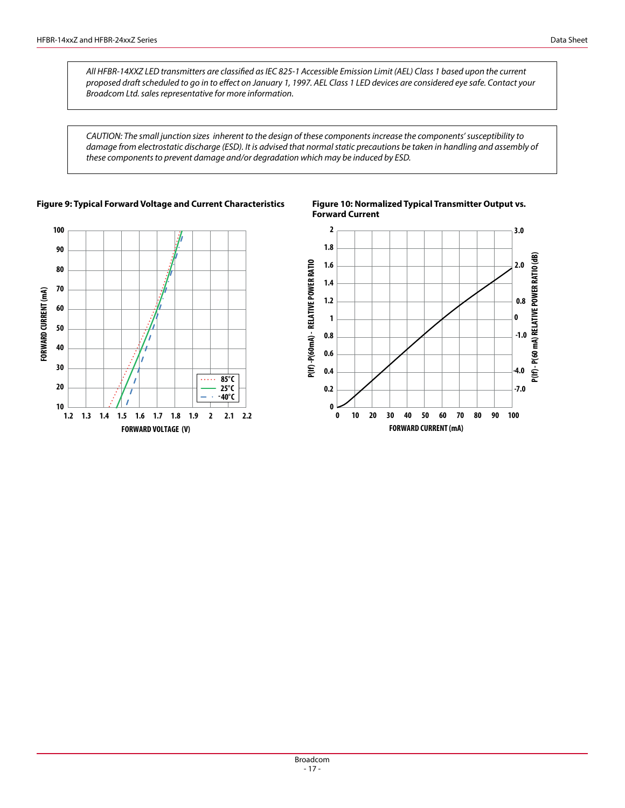*All HFBR-14XXZ LED transmitters are classified as IEC 825-1 Accessible Emission Limit (AEL) Class 1 based upon the current proposed draft scheduled to go in to effect on January 1, 1997. AEL Class 1 LED devices are considered eye safe. Contact your Broadcom Ltd. sales representative for more information.*

*CAUTION: The small junction sizes inherent to the design of these components increase the components' susceptibility to damage from electrostatic discharge (ESD). It is advised that normal static precautions be taken in handling and assembly of these components to prevent damage and/or degradation which may be induced by ESD.*



**Figure 9: Typical Forward Voltage and Current Characteristics Figure 10: Normalized Typical Transmitter Output vs.** 



**Forward Current**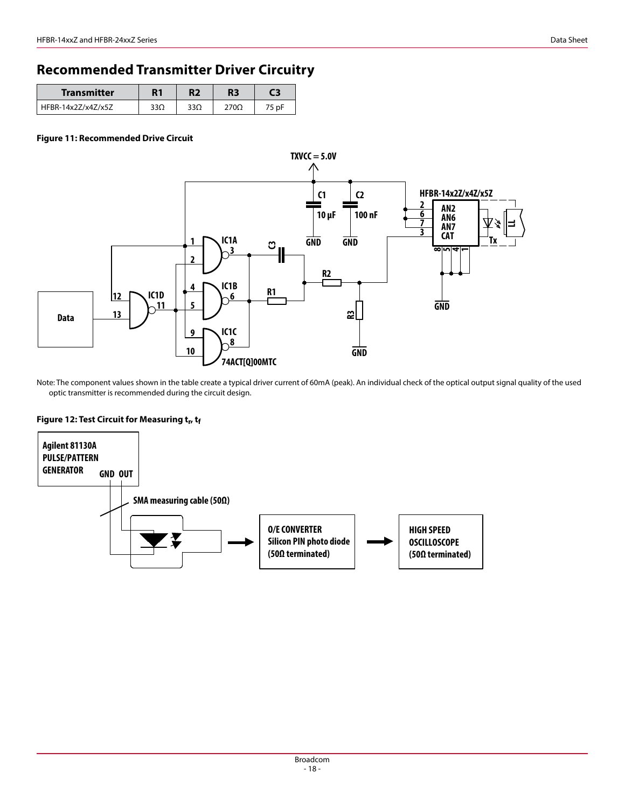## **Recommended Transmitter Driver Circuitry**

| Transmitter        | R1  |     | R3               | - 5   |
|--------------------|-----|-----|------------------|-------|
| HFBR-14x2Z/x4Z/x5Z | 33Ω | 33Ω | 270 <sub>Ω</sub> | 75 pF |

#### **Figure 11: Recommended Drive Circuit**



Note: The component values shown in the table create a typical driver current of 60mA (peak). An individual check of the optical output signal quality of the used optic transmitter is recommended during the circuit design.

#### Figure 12: Test Circuit for Measuring t<sub>r</sub>, tf

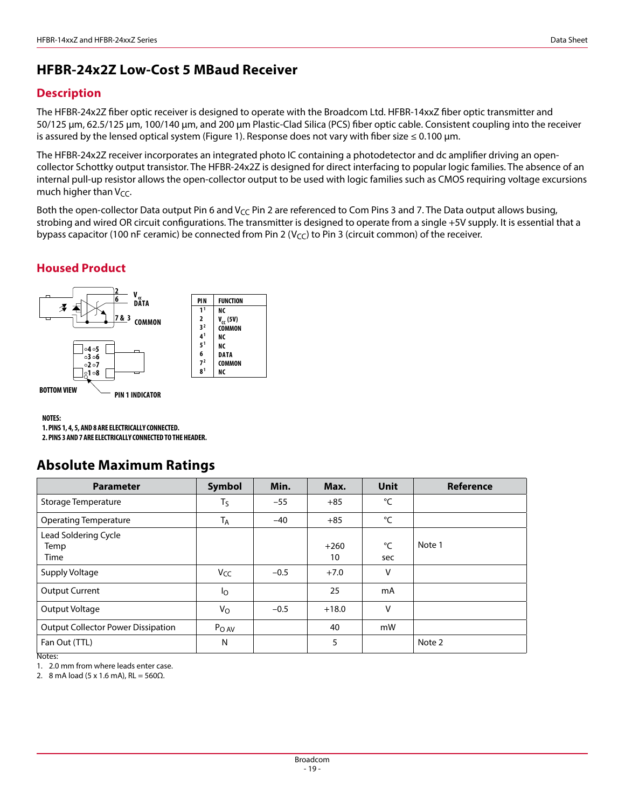## **HFBR-24x2Z Low-Cost 5 MBaud Receiver**

### **Description**

The HFBR-24x2Z fiber optic receiver is designed to operate with the Broadcom Ltd. HFBR-14xxZ fiber optic transmitter and 50/125 µm, 62.5/125 µm, 100/140 µm, and 200 µm Plastic-Clad Silica (PCS) fiber optic cable. Consistent coupling into the receiver is assured by the lensed optical system (Figure 1). Response does not vary with fiber size  $\leq 0.100$  µm.

The HFBR-24x2Z receiver incorporates an integrated photo IC containing a photodetector and dc amplifier driving an opencollector Schottky output transistor. The HFBR-24x2Z is designed for direct interfacing to popular logic families. The absence of an internal pull-up resistor allows the open-collector output to be used with logic families such as CMOS requiring voltage excursions much higher than  $V_{CC}$ .

Both the open-collector Data output Pin 6 and V<sub>CC</sub> Pin 2 are referenced to Com Pins 3 and 7. The Data output allows busing, strobing and wired OR circuit configurations. The transmitter is designed to operate from a single +5V supply. It is essential that a bypass capacitor (100 nF ceramic) be connected from Pin 2 ( $V_{CC}$ ) to Pin 3 (circuit common) of the receiver.

### **Housed Product**



#### **NOTES:**

**1. PINS 1, 4, 5, AND 8 ARE ELECTRICALLY CONNECTED.**

**2. PINS 3 AND 7 ARE ELECTRICALLY CONNECTED TO THE HEADER.**

### **Absolute Maximum Ratings**

| <b>Parameter</b>                          | Symbol               | Min.   | Max.         | <b>Unit</b>        | <b>Reference</b> |
|-------------------------------------------|----------------------|--------|--------------|--------------------|------------------|
| Storage Temperature                       | $T_S$                | $-55$  | $+85$        | °C                 |                  |
| <b>Operating Temperature</b>              | <b>T<sub>A</sub></b> | $-40$  | $+85$        | °C                 |                  |
| Lead Soldering Cycle<br>Temp<br>Time      |                      |        | $+260$<br>10 | $^{\circ}C$<br>sec | Note 1           |
| Supply Voltage                            | V <sub>CC</sub>      | $-0.5$ | $+7.0$       | v                  |                  |
| <b>Output Current</b>                     | $I_{\rm O}$          |        | 25           | mA                 |                  |
| Output Voltage                            | $V_{\rm O}$          | $-0.5$ | $+18.0$      | $\vee$             |                  |
| <b>Output Collector Power Dissipation</b> | P <sub>O AV</sub>    |        | 40           | mW                 |                  |
| Fan Out (TTL)<br>$\overline{\cdots}$      | N                    |        | 5            |                    | Note 2           |

Notes:

1. 2.0 mm from where leads enter case.

2. 8 mA load (5 x 1.6 mA),  $RL = 560 \Omega$ .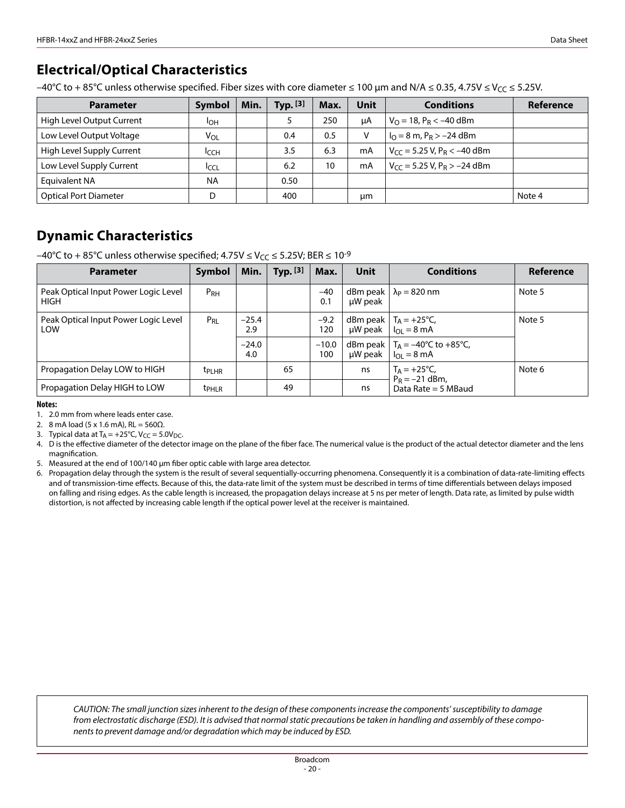## **Electrical/Optical Characteristics**

–40°C to + 85°C unless otherwise specified. Fiber sizes with core diameter ≤ 100 µm and N/A ≤ 0.35, 4.75V ≤ V<sub>CC</sub> ≤ 5.25V.

| <b>Parameter</b>             | Symbol       | Min. | Typ. $[3]$ | Max. | Unit | <b>Conditions</b>                            | Reference |
|------------------------------|--------------|------|------------|------|------|----------------------------------------------|-----------|
| High Level Output Current    | Iон          |      |            | 250  | μA   | $V_{\Omega} = 18$ , P <sub>R</sub> < -40 dBm |           |
| Low Level Output Voltage     | $V_{OL}$     |      | 0.4        | 0.5  | ۷    | $IO = 8$ m, $PR > -24$ dBm                   |           |
| High Level Supply Current    | <b>I</b> CCH |      | 3.5        | 6.3  | mA   | $V_{CC}$ = 5.25 V, P <sub>R</sub> < -40 dBm  |           |
| Low Level Supply Current     | <b>ICCL</b>  |      | 6.2        | 10   | mA   | $V_{CC}$ = 5.25 V, P <sub>R</sub> > -24 dBm  |           |
| Equivalent NA                | <b>NA</b>    |      | 0.50       |      |      |                                              |           |
| <b>Optical Port Diameter</b> | D            |      | 400        |      | μm   |                                              | Note 4    |

## **Dynamic Characteristics**

–40°C to +85°C unless otherwise specified;  $4.75V \leq V_{CC} \leq 5.25V$ ; BER  $\leq 10^{-9}$ 

| <b>Parameter</b>                                    | <b>Symbol</b>     | Min.           | Typ. $[3]$ | Max.           | Unit                  | <b>Conditions</b>                                                             | Reference |
|-----------------------------------------------------|-------------------|----------------|------------|----------------|-----------------------|-------------------------------------------------------------------------------|-----------|
| Peak Optical Input Power Logic Level<br><b>HIGH</b> | P <sub>RH</sub>   |                |            | $-40$<br>0.1   | dBm peak  <br>µW peak | $\lambda_P = 820$ nm                                                          | Note 5    |
| Peak Optical Input Power Logic Level<br>LOW         | $P_{RL}$          | $-25.4$<br>2.9 |            | $-9.2$<br>120  |                       | dBm peak $ T_A = +25^{\circ}C$ ,<br>$\mu$ W peak   $I_{\Omega}$ = 8 mA        | Note 5    |
|                                                     |                   | $-24.0$<br>4.0 |            | $-10.0$<br>100 | $\mu$ W peak          | dBm peak $ T_A = -40^{\circ}C$ to $+85^{\circ}C$ ,<br>$I_{OL} = 8 \text{ mA}$ |           |
| Propagation Delay LOW to HIGH                       | <b>t</b> PLHR     |                | 65         |                | ns                    | $T_A = +25$ °C,<br>$P_R = -21$ dBm,                                           | Note 6    |
| Propagation Delay HIGH to LOW                       | t <sub>PHLR</sub> |                | 49         |                | ns                    | Data Rate = $5$ MBaud                                                         |           |

**Notes:**

1. 2.0 mm from where leads enter case.

2. 8 mA load (5 x 1.6 mA), RL =  $560\Omega$ .

3. Typical data at  $T_A = +25^{\circ}C$ ,  $V_{CC} = 5.0V_{DC}$ .

4. D is the effective diameter of the detector image on the plane of the fiber face. The numerical value is the product of the actual detector diameter and the lens magnification.

5. Measured at the end of 100/140 μm fiber optic cable with large area detector.

6. Propagation delay through the system is the result of several sequentially-occurring phenomena. Consequently it is a combination of data-rate-limiting effects and of transmission-time effects. Because of this, the data-rate limit of the system must be described in terms of time differentials between delays imposed on falling and rising edges. As the cable length is increased, the propagation delays increase at 5 ns per meter of length. Data rate, as limited by pulse width distortion, is not affected by increasing cable length if the optical power level at the receiver is maintained.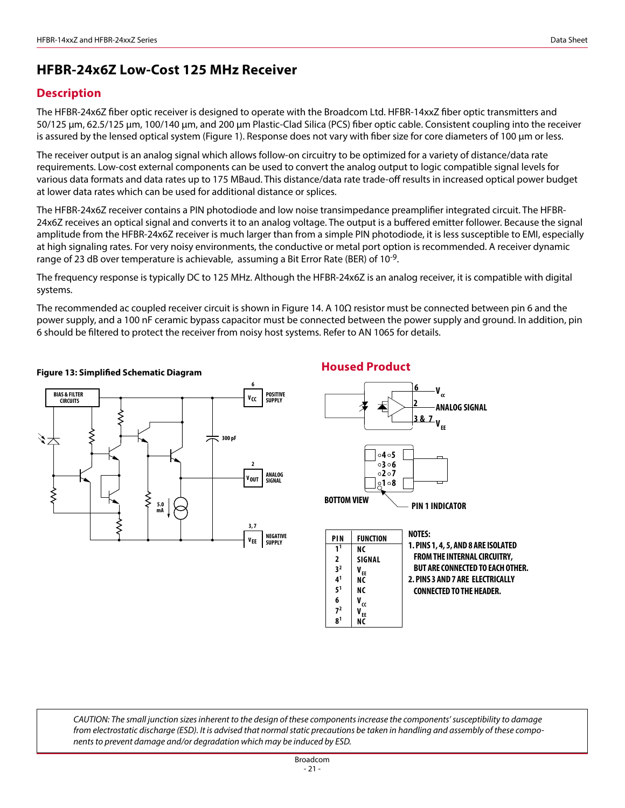## **HFBR-24x6Z Low-Cost 125 MHz Receiver**

### **Description**

The HFBR-24x6Z fiber optic receiver is designed to operate with the Broadcom Ltd. HFBR-14xxZ fiber optic transmitters and 50/125 µm, 62.5/125 µm, 100/140 µm, and 200 µm Plastic-Clad Silica (PCS) fiber optic cable. Consistent coupling into the receiver is assured by the lensed optical system (Figure 1). Response does not vary with fiber size for core diameters of 100 µm or less.

The receiver output is an analog signal which allows follow-on circuitry to be optimized for a variety of distance/data rate requirements. Low-cost external components can be used to convert the analog output to logic compatible signal levels for various data formats and data rates up to 175 MBaud. This distance/data rate trade-off results in increased optical power budget at lower data rates which can be used for additional distance or splices.

The HFBR-24x6Z receiver contains a PIN photodiode and low noise transimpedance preamplifier integrated circuit. The HFBR-24x6Z receives an optical signal and converts it to an analog voltage. The output is a buffered emitter follower. Because the signal amplitude from the HFBR-24x6Z receiver is much larger than from a simple PIN photodiode, it is less susceptible to EMI, especially at high signaling rates. For very noisy environments, the conductive or metal port option is recommended. A receiver dynamic range of 23 dB over temperature is achievable, assuming a Bit Error Rate (BER) of 10-9.

The frequency response is typically DC to 125 MHz. Although the HFBR-24x6Z is an analog receiver, it is compatible with digital systems.

The recommended ac coupled receiver circuit is shown in Figure 14. A 10Ω resistor must be connected between pin 6 and the power supply, and a 100 nF ceramic bypass capacitor must be connected between the power supply and ground. In addition, pin 6 should be filtered to protect the receiver from noisy host systems. Refer to AN 1065 for details.



### **Housed Product Figure 13: Simplified Schematic Diagram**

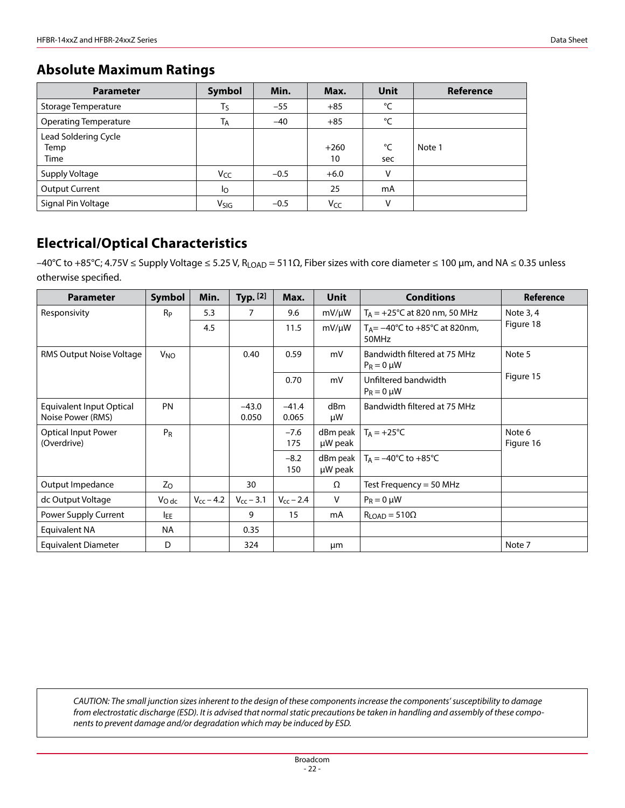## **Absolute Maximum Ratings**

| <b>Parameter</b>                     | Symbol          | Min.   | Max.         | Unit      | Reference |
|--------------------------------------|-----------------|--------|--------------|-----------|-----------|
| Storage Temperature                  | $T_S$           | $-55$  | $+85$        | °C        |           |
| <b>Operating Temperature</b>         | <b>TA</b>       | $-40$  | $+85$        | °C        |           |
| Lead Soldering Cycle<br>Temp<br>Time |                 |        | $+260$<br>10 | °C<br>sec | Note 1    |
| Supply Voltage                       | V <sub>CC</sub> | $-0.5$ | $+6.0$       | v         |           |
| <b>Output Current</b>                | Ιo              |        | 25           | mA        |           |
| Signal Pin Voltage                   | Vsig            | $-0.5$ | Vcc          | V         |           |

## **Electrical/Optical Characteristics**

 $-40^{\circ}$ C to +85°C; 4.75V ≤ Supply Voltage ≤ 5.25 V, R<sub>LOAD</sub> = 511Ω, Fiber sizes with core diameter ≤ 100 μm, and NA ≤ 0.35 unless otherwise specified.

| <b>Parameter</b>                              | Symbol     | Min.           | Typ. $[2]$       | Max.             | <b>Unit</b>                | <b>Conditions</b>                                                      | Reference           |  |
|-----------------------------------------------|------------|----------------|------------------|------------------|----------------------------|------------------------------------------------------------------------|---------------------|--|
| Responsivity                                  | $R_{P}$    | 5.3            | 7                | 9.6              | $mV/\mu W$                 | $T_A = +25$ °C at 820 nm, 50 MHz                                       | Note 3, 4           |  |
|                                               |            | 4.5            |                  | 11.5             | $mV/\mu W$                 | T <sub>A</sub> = $-40^{\circ}$ C to $+85^{\circ}$ C at 820nm,<br>50MHz | Figure 18           |  |
| RMS Output Noise Voltage                      | $V_{NO}$   |                | 0.40             | 0.59             | mV                         | Bandwidth filtered at 75 MHz<br>$P_R = 0 \mu W$                        | Note 5              |  |
|                                               |            |                |                  | 0.70             | mV                         | Unfiltered bandwidth<br>$P_R = 0 \mu W$                                | Figure 15           |  |
| Equivalent Input Optical<br>Noise Power (RMS) | <b>PN</b>  |                | $-43.0$<br>0.050 | $-41.4$<br>0.065 | d <sub>Bm</sub><br>μW      | Bandwidth filtered at 75 MHz                                           |                     |  |
| <b>Optical Input Power</b><br>(Overdrive)     | $P_R$      |                |                  | $-7.6$<br>175    | $d$ Bm peak $ $<br>µW peak | $T_A = +25$ °C                                                         | Note 6<br>Figure 16 |  |
|                                               |            |                |                  | $-8.2$<br>150    | $d$ Bm peak  <br>µW peak   | $T_A = -40^{\circ}C$ to $+85^{\circ}C$                                 |                     |  |
| Output Impedance                              | Zo         |                | 30               |                  | Ω                          | Test Frequency = 50 MHz                                                |                     |  |
| dc Output Voltage                             | $V_{Odc}$  | $V_{cc}$ – 4.2 | $V_{cc}$ – 3.1   | $V_{cc}$ – 2.4   | V                          | $P_R = 0 \mu W$                                                        |                     |  |
| Power Supply Current                          | <b>IEE</b> |                | 9                | 15               | mA                         | $R_{\text{LOAD}} = 510\Omega$                                          |                     |  |
| <b>Equivalent NA</b>                          | <b>NA</b>  |                | 0.35             |                  |                            |                                                                        |                     |  |
| Equivalent Diameter                           | D          |                | 324              |                  | μm                         |                                                                        | Note 7              |  |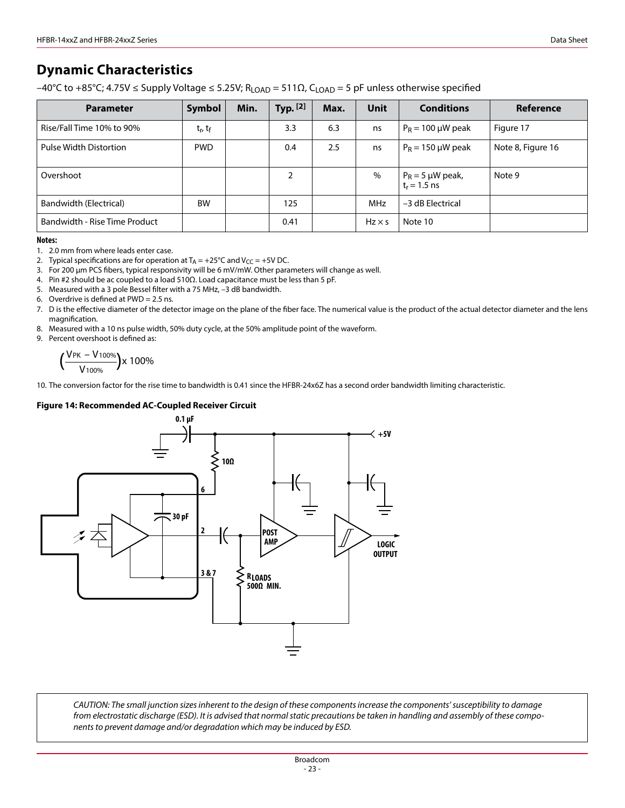## **Dynamic Characteristics**

 $-40^{\circ}$ C to +85°C; 4.75V ≤ Supply Voltage ≤ 5.25V; R<sub>LOAD</sub> = 511Ω, C<sub>LOAD</sub> = 5 pF unless otherwise specified

| <b>Parameter</b>              | Symbol                          | Min. | Typ. [2] | Max. | Unit          | <b>Conditions</b>                                | Reference         |
|-------------------------------|---------------------------------|------|----------|------|---------------|--------------------------------------------------|-------------------|
| Rise/Fall Time 10% to 90%     | t <sub>r</sub> , t <sub>f</sub> |      | 3.3      | 6.3  | ns            | $P_R = 100 \mu W$ peak                           | Figure 17         |
| Pulse Width Distortion        | <b>PWD</b>                      |      | 0.4      | 2.5  | ns            | $P_R = 150 \mu W$ peak                           | Note 8, Figure 16 |
| Overshoot                     |                                 |      | 2        |      | $\%$          | $P_R = 5 \mu W$ peak,<br>t <sub>r</sub> = 1.5 ns | Note 9            |
| Bandwidth (Electrical)        | <b>BW</b>                       |      | 125      |      | <b>MHz</b>    | -3 dB Electrical                                 |                   |
| Bandwidth - Rise Time Product |                                 |      | 0.41     |      | $Hz \times s$ | Note 10                                          |                   |

#### **Notes:**

1. 2.0 mm from where leads enter case.

2. Typical specifications are for operation at  $T_A = +25^{\circ}C$  and  $V_{CC} = +5V$  DC.

3. For 200 µm PCS fibers, typical responsivity will be 6 mV/mW. Other parameters will change as well.

4. Pin #2 should be ac coupled to a load 510Ω. Load capacitance must be less than 5 pF.

5. Measured with a 3 pole Bessel filter with a 75 MHz, –3 dB bandwidth.

6. Overdrive is defined at PWD = 2.5 ns.

7. D is the effective diameter of the detector image on the plane of the fiber face. The numerical value is the product of the actual detector diameter and the lens magnification.

8. Measured with a 10 ns pulse width, 50% duty cycle, at the 50% amplitude point of the waveform.

9. Percent overshoot is defined as:

$$
\Big(\frac{V_{\text{PK}}-V_{100\%}}{V_{100\%}}\Big) \!\!\times 100\%
$$

10. The conversion factor for the rise time to bandwidth is 0.41 since the HFBR-24x6Z has a second order bandwidth limiting characteristic.

#### **Figure 14: Recommended AC-Coupled Receiver Circuit**

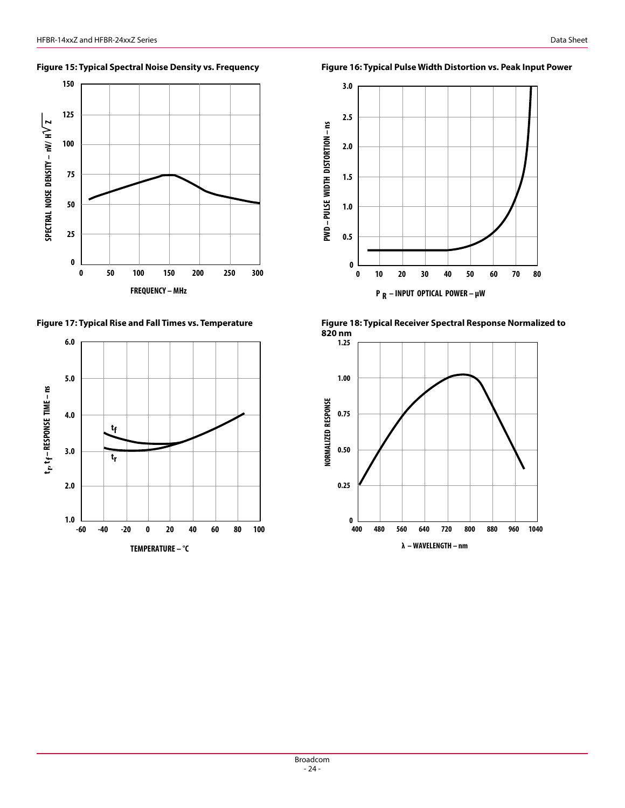



**3.0 2.5** PWD - PULSE WIDTH DISTORTION - ns **PWD – PULSE WIDTH DISTORTION – ns 2.0 1.5**



**0 20 30 40 50 70**

**10 60**

 **P R – INPUT OPTICAL POWER – µW**

**1.0**

**0.5**

**0**



**80**

**Figure 15: Typical Spectral Noise Density vs. Frequency Figure 16: Typical Pulse Width Distortion vs. Peak Input Power**